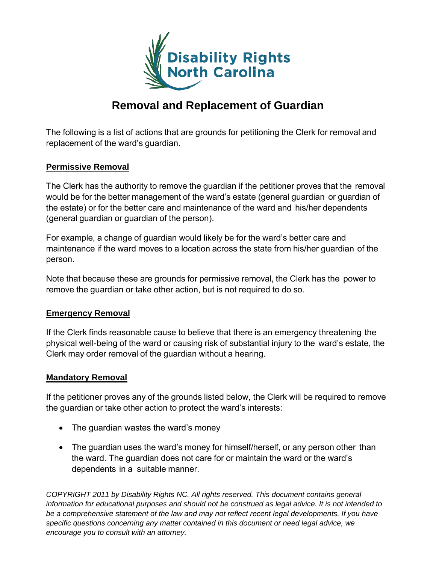

# **Removal and Replacement of Guardian**

The following is a list of actions that are grounds for petitioning the Clerk for removal and replacement of the ward's guardian.

### **Permissive Removal**

The Clerk has the authority to remove the guardian if the petitioner proves that the removal would be for the better management of the ward's estate (general guardian or guardian of the estate) or for the better care and maintenance of the ward and his/her dependents (general guardian or guardian of the person).

For example, a change of guardian would likely be for the ward's better care and maintenance if the ward moves to a location across the state from his/her guardian of the person.

Note that because these are grounds for permissive removal, the Clerk has the power to remove the guardian or take other action, but is not required to do so.

### **Emergency Removal**

If the Clerk finds reasonable cause to believe that there is an emergency threatening the physical well-being of the ward or causing risk of substantial injury to the ward's estate, the Clerk may order removal of the guardian without a hearing.

#### **Mandatory Removal**

If the petitioner proves any of the grounds listed below, the Clerk will be required to remove the guardian or take other action to protect the ward's interests:

- The quardian wastes the ward's money
- The guardian uses the ward's money for himself/herself, or any person other than the ward. The guardian does not care for or maintain the ward or the ward's dependents in a suitable manner.

*COPYRIGHT 2011 by Disability Rights NC. All rights reserved. This document contains general information for educational purposes and should not be construed as legal advice. It is not intended to* be a comprehensive statement of the law and may not reflect recent legal developments. If you have *specific questions concerning any matter contained in this document or need legal advice, we encourage you to consult with an attorney.*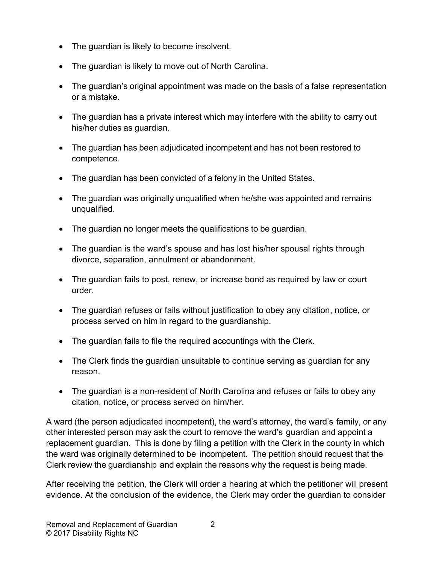- The guardian is likely to become insolvent.
- The guardian is likely to move out of North Carolina.
- The guardian's original appointment was made on the basis of a false representation or a mistake.
- The guardian has a private interest which may interfere with the ability to carry out his/her duties as guardian.
- The guardian has been adjudicated incompetent and has not been restored to competence.
- The guardian has been convicted of a felony in the United States.
- The guardian was originally unqualified when he/she was appointed and remains unqualified.
- The guardian no longer meets the qualifications to be guardian.
- The guardian is the ward's spouse and has lost his/her spousal rights through divorce, separation, annulment or abandonment.
- The guardian fails to post, renew, or increase bond as required by law or court order.
- The guardian refuses or fails without justification to obey any citation, notice, or process served on him in regard to the guardianship.
- The guardian fails to file the required accountings with the Clerk.
- The Clerk finds the guardian unsuitable to continue serving as guardian for any reason.
- The guardian is a non-resident of North Carolina and refuses or fails to obey any citation, notice, or process served on him/her.

A ward (the person adjudicated incompetent), the ward's attorney, the ward's family, or any other interested person may ask the court to remove the ward's guardian and appoint a replacement guardian. This is done by filing a petition with the Clerk in the county in which the ward was originally determined to be incompetent. The petition should request that the Clerk review the guardianship and explain the reasons why the request is being made.

After receiving the petition, the Clerk will order a hearing at which the petitioner will present evidence. At the conclusion of the evidence, the Clerk may order the guardian to consider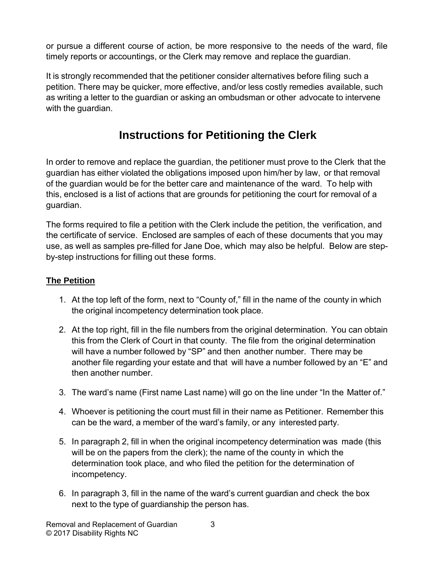or pursue a different course of action, be more responsive to the needs of the ward, file timely reports or accountings, or the Clerk may remove and replace the guardian.

It is strongly recommended that the petitioner consider alternatives before filing such a petition. There may be quicker, more effective, and/or less costly remedies available, such as writing a letter to the guardian or asking an ombudsman or other advocate to intervene with the guardian.

# **Instructions for Petitioning the Clerk**

In order to remove and replace the guardian, the petitioner must prove to the Clerk that the guardian has either violated the obligations imposed upon him/her by law, or that removal of the guardian would be for the better care and maintenance of the ward. To help with this, enclosed is a list of actions that are grounds for petitioning the court for removal of a guardian.

The forms required to file a petition with the Clerk include the petition, the verification, and the certificate of service. Enclosed are samples of each of these documents that you may use, as well as samples pre-filled for Jane Doe, which may also be helpful. Below are stepby-step instructions for filling out these forms.

## **The Petition**

- 1. At the top left of the form, next to "County of," fill in the name of the county in which the original incompetency determination took place.
- 2. At the top right, fill in the file numbers from the original determination. You can obtain this from the Clerk of Court in that county. The file from the original determination will have a number followed by "SP" and then another number. There may be another file regarding your estate and that will have a number followed by an "E" and then another number.
- 3. The ward's name (First name Last name) will go on the line under "In the Matter of."
- 4. Whoever is petitioning the court must fill in their name as Petitioner. Remember this can be the ward, a member of the ward's family, or any interested party.
- 5. In paragraph 2, fill in when the original incompetency determination was made (this will be on the papers from the clerk); the name of the county in which the determination took place, and who filed the petition for the determination of incompetency.
- 6. In paragraph 3, fill in the name of the ward's current guardian and check the box next to the type of guardianship the person has.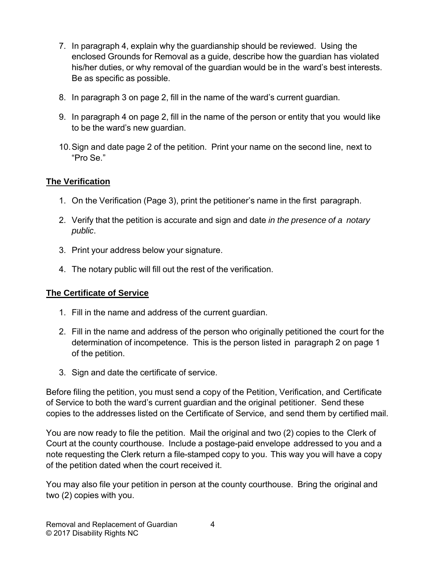- 7. In paragraph 4, explain why the guardianship should be reviewed. Using the enclosed Grounds for Removal as a guide, describe how the guardian has violated his/her duties, or why removal of the guardian would be in the ward's best interests. Be as specific as possible.
- 8. In paragraph 3 on page 2, fill in the name of the ward's current guardian.
- 9. In paragraph 4 on page 2, fill in the name of the person or entity that you would like to be the ward's new guardian.
- 10.Sign and date page 2 of the petition. Print your name on the second line, next to "Pro Se."

## **The Verification**

- 1. On the Verification (Page 3), print the petitioner's name in the first paragraph.
- 2. Verify that the petition is accurate and sign and date *in the presence of a notary public*.
- 3. Print your address below your signature.
- 4. The notary public will fill out the rest of the verification.

## **The Certificate of Service**

- 1. Fill in the name and address of the current guardian.
- 2. Fill in the name and address of the person who originally petitioned the court for the determination of incompetence. This is the person listed in paragraph 2 on page 1 of the petition.
- 3. Sign and date the certificate of service.

Before filing the petition, you must send a copy of the Petition, Verification, and Certificate of Service to both the ward's current guardian and the original petitioner. Send these copies to the addresses listed on the Certificate of Service, and send them by certified mail.

You are now ready to file the petition. Mail the original and two (2) copies to the Clerk of Court at the county courthouse. Include a postage-paid envelope addressed to you and a note requesting the Clerk return a file-stamped copy to you. This way you will have a copy of the petition dated when the court received it.

You may also file your petition in person at the county courthouse. Bring the original and two (2) copies with you.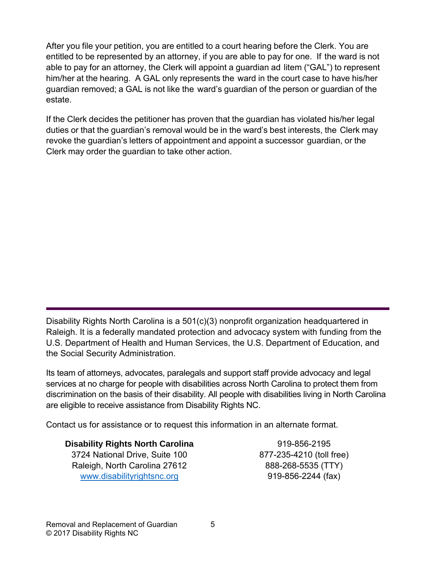After you file your petition, you are entitled to a court hearing before the Clerk. You are entitled to be represented by an attorney, if you are able to pay for one. If the ward is not able to pay for an attorney, the Clerk will appoint a guardian ad litem ("GAL") to represent him/her at the hearing. A GAL only represents the ward in the court case to have his/her guardian removed; a GAL is not like the ward's guardian of the person or guardian of the estate.

If the Clerk decides the petitioner has proven that the guardian has violated his/her legal duties or that the guardian's removal would be in the ward's best interests, the Clerk may revoke the guardian's letters of appointment and appoint a successor guardian, or the Clerk may order the guardian to take other action.

Disability Rights North Carolina is a 501(c)(3) nonprofit organization headquartered in Raleigh. It is a federally mandated protection and advocacy system with funding from the U.S. Department of Health and Human Services, the U.S. Department of Education, and the Social Security Administration.

Its team of attorneys, advocates, paralegals and support staff provide advocacy and legal services at no charge for people with disabilities across North Carolina to protect them from discrimination on the basis of their disability. All people with disabilities living in North Carolina are eligible to receive assistance from Disability Rights NC.

Contact us for assistance or to request this information in an alternate format.

## **Disability Rights North Carolina**

3724 National Drive, Suite 100 Raleigh, North Carolina 27612 [www.disabilityrightsnc.org](http://www.disabilityrightsnc.org/)

919-856-2195 877-235-4210 (toll free) 888-268-5535 (TTY) 919-856-2244 (fax)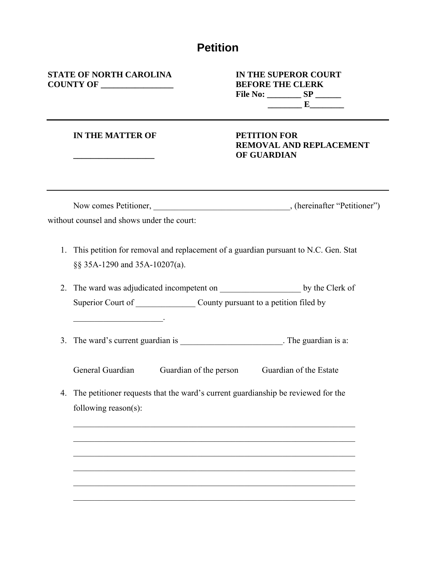## **Petition**

**STATE OF NORTH CAROLINA IN THE SUPEROR COURT COUNTY OF \_\_\_\_\_\_\_\_\_\_\_\_\_\_\_\_\_ BEFORE THE CLERK**

# **File No: \_\_\_\_\_\_\_\_ SP \_\_\_\_\_\_ \_\_\_\_\_\_\_\_ E\_\_\_\_\_\_\_\_**

#### **IN THE MATTER OF PETITION FOR**

 $\mathcal{L}_\text{max}$  and  $\mathcal{L}_\text{max}$  and  $\mathcal{L}_\text{max}$ 

# **REMOVAL AND REPLACEMENT \_\_\_\_\_\_\_\_\_\_\_\_\_\_\_\_\_\_\_ OF GUARDIAN**

| Now comes Petitioner,                      | , (hereinafter "Petitioner") |
|--------------------------------------------|------------------------------|
| without counsel and shows under the court: |                              |

- 1. This petition for removal and replacement of a guardian pursuant to N.C. Gen. Stat §§ 35A-1290 and 35A-10207(a).
- 2. The ward was adjudicated incompetent on \_\_\_\_\_\_\_\_\_\_\_\_\_\_\_\_\_\_\_\_\_\_\_ by the Clerk of Superior Court of \_\_\_\_\_\_\_\_\_\_\_\_\_\_\_\_ County pursuant to a petition filed by
- 3. The ward's current guardian is \_\_\_\_\_\_\_\_\_\_\_\_\_\_\_\_\_\_\_\_\_\_\_\_\_\_. The guardian is a:

General Guardian Guardian of the person Guardian of the Estate

4. The petitioner requests that the ward's current guardianship be reviewed for the following reason(s):

\_\_\_\_\_\_\_\_\_\_\_\_\_\_\_\_\_\_\_\_\_\_\_\_\_\_\_\_\_\_\_\_\_\_\_\_\_\_\_\_\_\_\_\_\_\_\_\_\_\_\_\_\_\_\_\_\_\_\_\_\_\_\_\_\_\_

\_\_\_\_\_\_\_\_\_\_\_\_\_\_\_\_\_\_\_\_\_\_\_\_\_\_\_\_\_\_\_\_\_\_\_\_\_\_\_\_\_\_\_\_\_\_\_\_\_\_\_\_\_\_\_\_\_\_\_\_\_\_\_\_\_\_

\_\_\_\_\_\_\_\_\_\_\_\_\_\_\_\_\_\_\_\_\_\_\_\_\_\_\_\_\_\_\_\_\_\_\_\_\_\_\_\_\_\_\_\_\_\_\_\_\_\_\_\_\_\_\_\_\_\_\_\_\_\_\_\_\_\_

 $\mathcal{L}_\mathcal{L} = \mathcal{L}_\mathcal{L} = \mathcal{L}_\mathcal{L} = \mathcal{L}_\mathcal{L} = \mathcal{L}_\mathcal{L} = \mathcal{L}_\mathcal{L} = \mathcal{L}_\mathcal{L} = \mathcal{L}_\mathcal{L} = \mathcal{L}_\mathcal{L} = \mathcal{L}_\mathcal{L} = \mathcal{L}_\mathcal{L} = \mathcal{L}_\mathcal{L} = \mathcal{L}_\mathcal{L} = \mathcal{L}_\mathcal{L} = \mathcal{L}_\mathcal{L} = \mathcal{L}_\mathcal{L} = \mathcal{L}_\mathcal{L}$ 

\_\_\_\_\_\_\_\_\_\_\_\_\_\_\_\_\_\_\_\_\_\_\_\_\_\_\_\_\_\_\_\_\_\_\_\_\_\_\_\_\_\_\_\_\_\_\_\_\_\_\_\_\_\_\_\_\_\_\_\_\_\_\_\_\_\_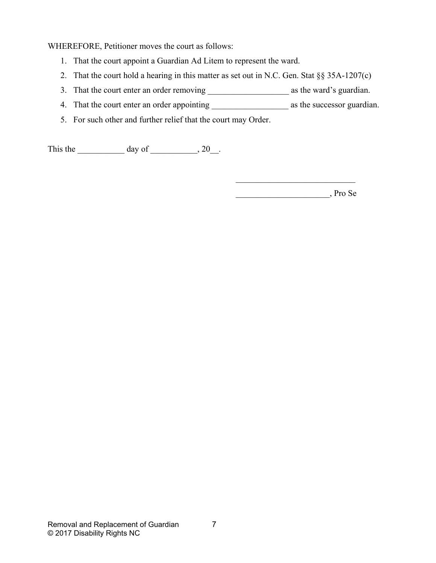WHEREFORE, Petitioner moves the court as follows:

- 1. That the court appoint a Guardian Ad Litem to represent the ward.
- 2. That the court hold a hearing in this matter as set out in N.C. Gen. Stat §§ 35A-1207(c)
- 3. That the court enter an order removing \_\_\_\_\_\_\_\_\_\_\_\_\_\_\_\_\_\_\_ as the ward's guardian.
- 4. That the court enter an order appointing \_\_\_\_\_\_\_\_\_\_\_\_\_\_\_\_\_\_ as the successor guardian.
- 5. For such other and further relief that the court may Order.

This the  $\_\_\_\_\_\$  day of  $\_\_\_\_\_\$ , 20 $\_\_\_\_\$ .

 $\mathcal{L}_\mathcal{L}$ \_\_\_\_\_\_\_\_\_\_\_\_\_\_\_\_\_\_\_\_\_\_, Pro Se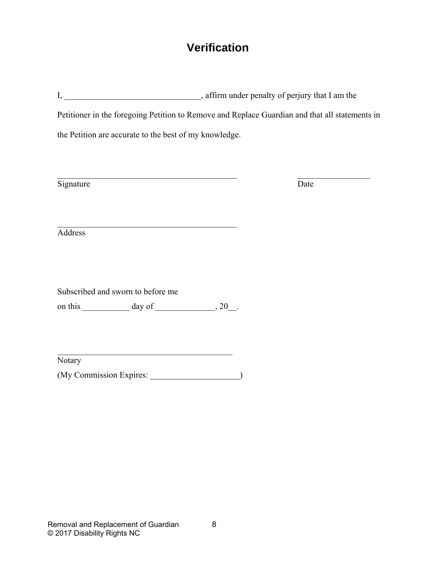## **Verification**

I, \_\_\_\_\_\_\_\_\_\_\_\_\_\_\_\_\_\_\_\_\_\_\_\_\_\_\_\_\_\_\_, affirm under penalty of perjury that I am the Petitioner in the foregoing Petition to Remove and Replace Guardian and that all statements in the Petition are accurate to the best of my knowledge.

Signature Date

Address

Subscribed and sworn to before me

on this  $\_\_\_\_\_\_\$  day of  $\_\_\_\_\_\_\$ 

**Notary** 

(My Commission Expires: \_\_\_\_\_\_\_\_\_\_\_\_\_\_\_\_\_\_\_\_\_)

\_\_\_\_\_\_\_\_\_\_\_\_\_\_\_\_\_\_\_\_\_\_\_\_\_\_\_\_\_\_\_\_\_\_\_\_\_\_\_\_\_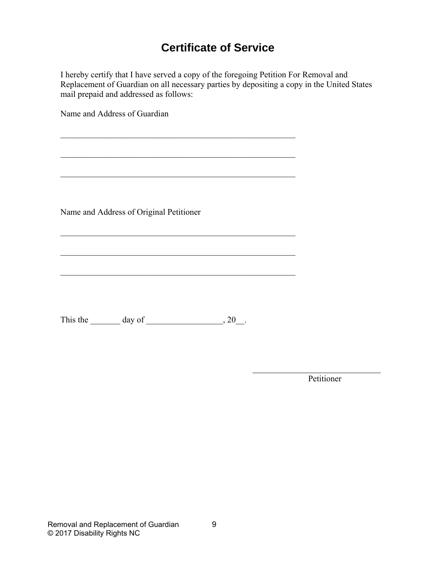# **Certificate of Service**

I hereby certify that I have served a copy of the foregoing Petition For Removal and Replacement of Guardian on all necessary parties by depositing a copy in the United States mail prepaid and addressed as follows:

\_\_\_\_\_\_\_\_\_\_\_\_\_\_\_\_\_\_\_\_\_\_\_\_\_\_\_\_\_\_\_\_\_\_\_\_\_\_\_\_\_\_\_\_\_\_\_\_\_\_\_\_\_\_\_

\_\_\_\_\_\_\_\_\_\_\_\_\_\_\_\_\_\_\_\_\_\_\_\_\_\_\_\_\_\_\_\_\_\_\_\_\_\_\_\_\_\_\_\_\_\_\_\_\_\_\_\_\_\_\_

\_\_\_\_\_\_\_\_\_\_\_\_\_\_\_\_\_\_\_\_\_\_\_\_\_\_\_\_\_\_\_\_\_\_\_\_\_\_\_\_\_\_\_\_\_\_\_\_\_\_\_\_\_\_\_

\_\_\_\_\_\_\_\_\_\_\_\_\_\_\_\_\_\_\_\_\_\_\_\_\_\_\_\_\_\_\_\_\_\_\_\_\_\_\_\_\_\_\_\_\_\_\_\_\_\_\_\_\_\_\_

Name and Address of Guardian

Name and Address of Original Petitioner

This the  $\_\_\_\_\$  day of  $\_\_\_\_\_\$ , 20 $\_\_\_\$ .

Petitioner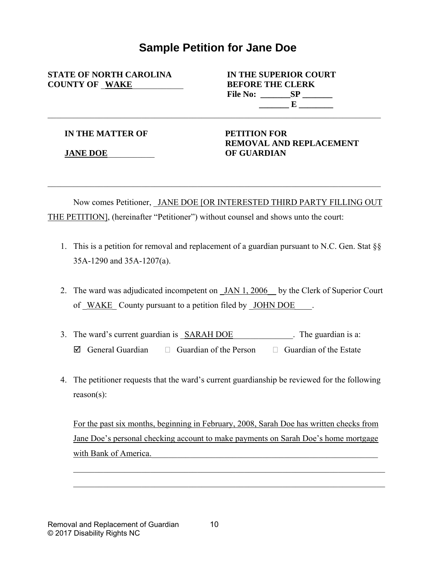## **Sample Petition for Jane Doe**

\_\_\_\_\_\_\_\_\_\_\_\_\_\_\_\_\_\_\_\_\_\_\_\_\_\_\_\_\_\_\_\_\_\_\_\_\_\_\_\_\_\_\_\_\_\_\_\_\_\_\_\_\_\_\_\_\_\_\_\_\_\_\_\_\_\_\_\_\_\_\_\_\_\_\_\_\_\_

**STATE OF NORTH CAROLINA IN THE SUPERIOR COURT COUNTY OF** \_**WAKE**\_\_\_\_\_\_\_\_\_\_\_\_ **BEFORE THE CLERK**

**File No: \_\_\_\_\_\_\_SP \_\_\_\_\_\_\_ \_\_\_\_\_\_\_ E \_\_\_\_\_\_\_\_**

**IN THE MATTER OF** 

**JANE DOE**\_\_\_\_\_\_\_\_\_\_\_

**PETITION FOR REMOVAL AND REPLACEMENT OF GUARDIAN**

Now comes Petitioner, JANE DOE [OR INTERESTED THIRD PARTY FILLING OUT THE PETITION], (hereinafter "Petitioner") without counsel and shows unto the court:

- 1. This is a petition for removal and replacement of a guardian pursuant to N.C. Gen. Stat §§ 35A-1290 and 35A-1207(a).
- 2. The ward was adjudicated incompetent on JAN 1, 2006 by the Clerk of Superior Court of WAKE County pursuant to a petition filed by JOHN DOE.
- 3. The ward's current guardian is  $SARAH DOE$  The guardian is a:  $\boxtimes$  General Guardian  $\Box$  Guardian of the Person  $\Box$  Guardian of the Estate
- 4. The petitioner requests that the ward's current guardianship be reviewed for the following reason(s):

For the past six months, beginning in February, 2008, Sarah Doe has written checks from Jane Doe's personal checking account to make payments on Sarah Doe's home mortgage with Bank of America.

\_\_\_\_\_\_\_\_\_\_\_\_\_\_\_\_\_\_\_\_\_\_\_\_\_\_\_\_\_\_\_\_\_\_\_\_\_\_\_\_\_\_\_\_\_\_\_\_\_\_\_\_\_\_\_\_\_\_\_\_\_\_\_\_\_\_\_\_\_\_\_\_\_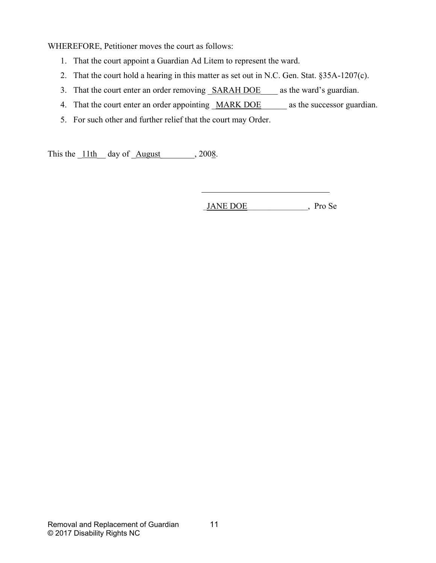WHEREFORE, Petitioner moves the court as follows:

- 1. That the court appoint a Guardian Ad Litem to represent the ward.
- 2. That the court hold a hearing in this matter as set out in N.C. Gen. Stat. §35A-1207(c).
- 3. That the court enter an order removing SARAH DOE as the ward's guardian.
- 4. That the court enter an order appointing MARK DOE as the successor guardian.
- 5. For such other and further relief that the court may Order.

This the  $11th$  day of  $\overline{\text{August}}$ , 2008.

\_JANE DOE\_\_\_\_\_\_\_\_\_\_\_\_\_\_\_\_\_, Pro Se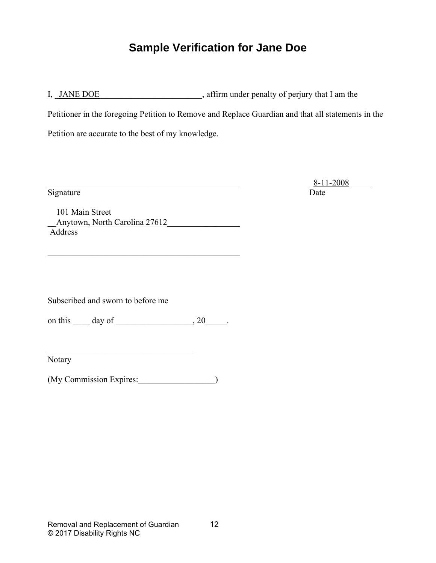# **Sample Verification for Jane Doe**

I, JANE DOE and a sample of perimpediate in the sample of perimpediate in the sample of perimpediate I am the

Petitioner in the foregoing Petition to Remove and Replace Guardian and that all statements in the

Petition are accurate to the best of my knowledge.

 $\underline{8-11-2008}$ Signature Date

 101 Main Street Anytown, North Carolina 27612 Address

\_\_\_\_\_\_\_\_\_\_\_\_\_\_\_\_\_\_\_\_\_\_\_\_\_\_\_\_\_\_\_\_\_\_\_\_\_\_\_\_\_\_\_\_\_

Subscribed and sworn to before me

on this day of the set of the set of  $\sim$ , 20 and the set of  $\sim$ 

\_\_\_\_\_\_\_\_\_\_\_\_\_\_\_\_\_\_\_\_\_\_\_\_\_\_\_\_\_\_\_\_\_\_

Notary

(My Commission Expires:  $\qquad \qquad$ )